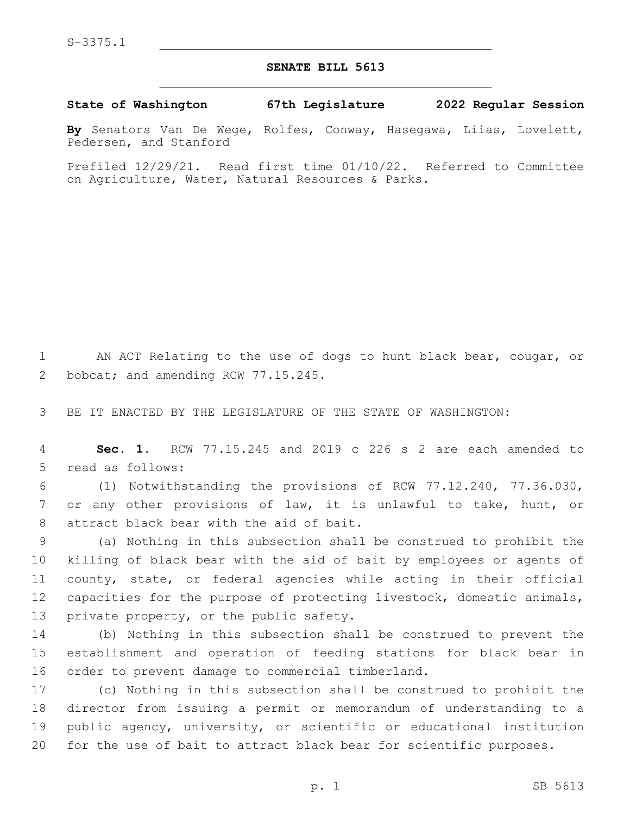## **SENATE BILL 5613**

**State of Washington 67th Legislature 2022 Regular Session**

**By** Senators Van De Wege, Rolfes, Conway, Hasegawa, Liias, Lovelett, Pedersen, and Stanford

Prefiled 12/29/21. Read first time 01/10/22. Referred to Committee on Agriculture, Water, Natural Resources & Parks.

1 AN ACT Relating to the use of dogs to hunt black bear, cougar, or 2 bobcat; and amending RCW 77.15.245.

3 BE IT ENACTED BY THE LEGISLATURE OF THE STATE OF WASHINGTON:

4 **Sec. 1.** RCW 77.15.245 and 2019 c 226 s 2 are each amended to 5 read as follows:

6 (1) Notwithstanding the provisions of RCW 77.12.240, 77.36.030, 7 or any other provisions of law, it is unlawful to take, hunt, or 8 attract black bear with the aid of bait.

 (a) Nothing in this subsection shall be construed to prohibit the killing of black bear with the aid of bait by employees or agents of county, state, or federal agencies while acting in their official capacities for the purpose of protecting livestock, domestic animals, 13 private property, or the public safety.

14 (b) Nothing in this subsection shall be construed to prevent the 15 establishment and operation of feeding stations for black bear in 16 order to prevent damage to commercial timberland.

 (c) Nothing in this subsection shall be construed to prohibit the director from issuing a permit or memorandum of understanding to a public agency, university, or scientific or educational institution for the use of bait to attract black bear for scientific purposes.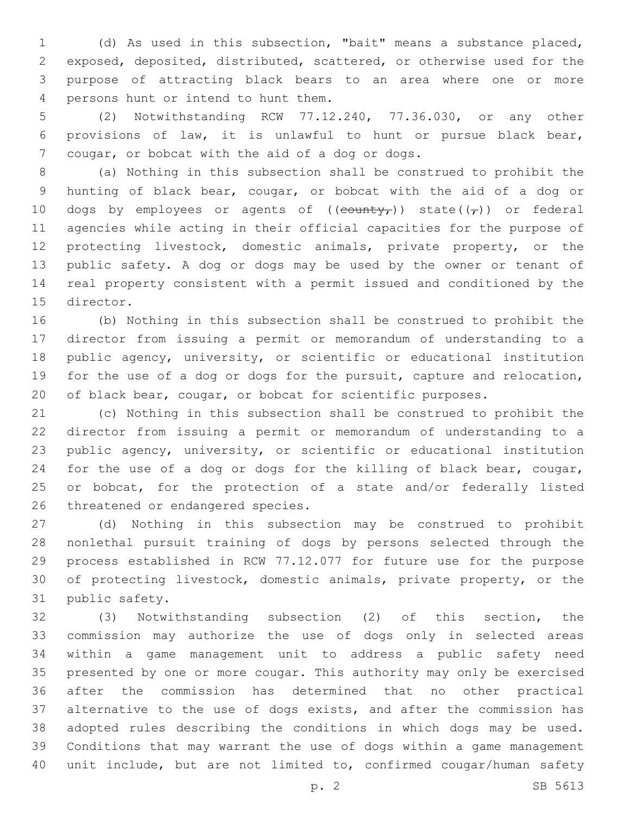(d) As used in this subsection, "bait" means a substance placed, exposed, deposited, distributed, scattered, or otherwise used for the purpose of attracting black bears to an area where one or more 4 persons hunt or intend to hunt them.

 (2) Notwithstanding RCW 77.12.240, 77.36.030, or any other provisions of law, it is unlawful to hunt or pursue black bear, 7 cougar, or bobcat with the aid of a dog or dogs.

 (a) Nothing in this subsection shall be construed to prohibit the hunting of black bear, cougar, or bobcat with the aid of a dog or 10 dogs by employees or agents of  $((\text{county}_t))$  state $((\tau))$  or federal agencies while acting in their official capacities for the purpose of protecting livestock, domestic animals, private property, or the public safety. A dog or dogs may be used by the owner or tenant of real property consistent with a permit issued and conditioned by the 15 director.

 (b) Nothing in this subsection shall be construed to prohibit the director from issuing a permit or memorandum of understanding to a public agency, university, or scientific or educational institution for the use of a dog or dogs for the pursuit, capture and relocation, of black bear, cougar, or bobcat for scientific purposes.

 (c) Nothing in this subsection shall be construed to prohibit the director from issuing a permit or memorandum of understanding to a public agency, university, or scientific or educational institution for the use of a dog or dogs for the killing of black bear, cougar, or bobcat, for the protection of a state and/or federally listed 26 threatened or endangered species.

 (d) Nothing in this subsection may be construed to prohibit nonlethal pursuit training of dogs by persons selected through the process established in RCW 77.12.077 for future use for the purpose of protecting livestock, domestic animals, private property, or the 31 public safety.

 (3) Notwithstanding subsection (2) of this section, the commission may authorize the use of dogs only in selected areas within a game management unit to address a public safety need presented by one or more cougar. This authority may only be exercised after the commission has determined that no other practical alternative to the use of dogs exists, and after the commission has adopted rules describing the conditions in which dogs may be used. Conditions that may warrant the use of dogs within a game management unit include, but are not limited to, confirmed cougar/human safety

p. 2 SB 5613